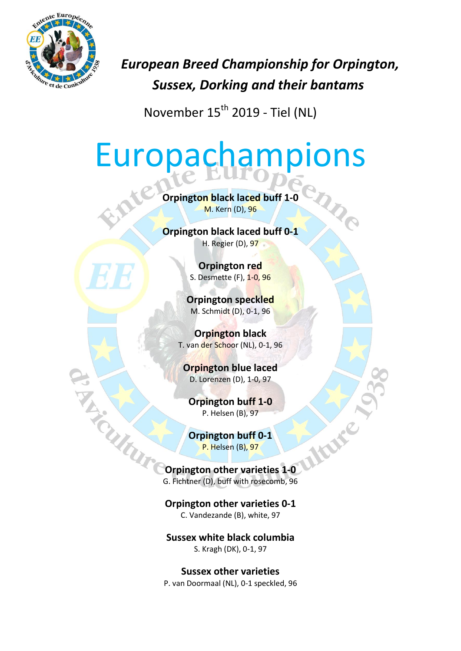

*European Breed Championship for Orpington, Sussex, Dorking and their bantams*

November  $15^{th}$  2019 - Tiel (NL)

# Europachampions

**Orpington black laced buff 1-0** M. Kern (D), 96

**Orpington black laced buff 0-1** H. Regier (D), 97

> **Orpington red** S. Desmette (F), 1-0, 96

**Orpington speckled** M. Schmidt (D), 0-1, 96

**Orpington black** T. van der Schoor (NL), 0-1, 96

**Orpington blue laced** D. Lorenzen (D), 1-0, 97

**Orpington buff 1-0** P. Helsen (B), 97

**Orpington buff 0-1** P. Helsen (B), 97

WITCHES **Orpington other varieties 1-0** G. Fichtner (D), buff with rosecomb, 96

> **Orpington other varieties 0-1** C. Vandezande (B), white, 97

**Sussex white black columbia** S. Kragh (DK), 0-1, 97

**Sussex other varieties** P. van Doormaal (NL), 0-1 speckled, 96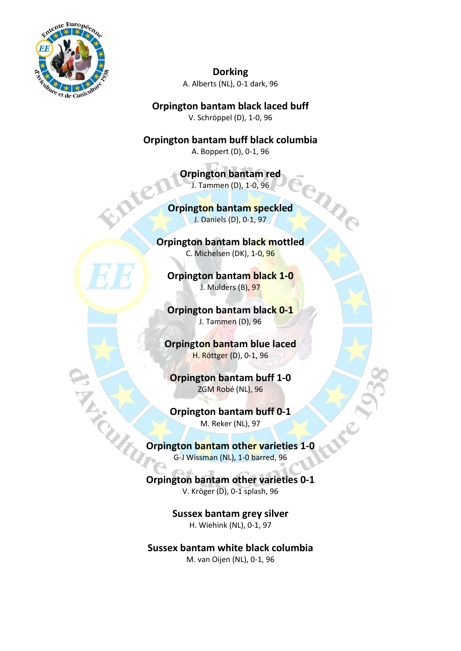

**Dorking** A. Alberts (NL), 0-1 dark, 96

**Orpington bantam black laced buff** V. Schröppel (D), 1-0, 96

**Orpington bantam buff black columbia** A. Boppert (D), 0-1, 96

> **Orpington bantam red** J. Tammen (D), 1-0, 96

**Orpington bantam speckled** J. Daniels (D), 0-1, 97

enne

**Orpington bantam black mottled** C. Michelsen (DK), 1-0, 96

**Orpington bantam black 1-0** J. Mulders (B), 97

**Orpington bantam black 0-1** J. Tammen (D), 96

**Orpington bantam blue laced** H. Röttger (D), 0-1, 96

**Orpington bantam buff 1-0** ZGM Robé (NL), 96

**Orpington bantam buff 0-1** M. Reker (NL), 97

**Orpington bantam other varieties 1-0** G-J Wissman (NL), 1-0 barred, 96

> **Orpington bantam other varieties 0-1** V. Kröger (D), 0-1 splash, 96

> > **Sussex bantam grey silver** H. Wiehink (NL), 0-1, 97

**Sussex bantam white black columbia** M. van Oijen (NL), 0-1, 96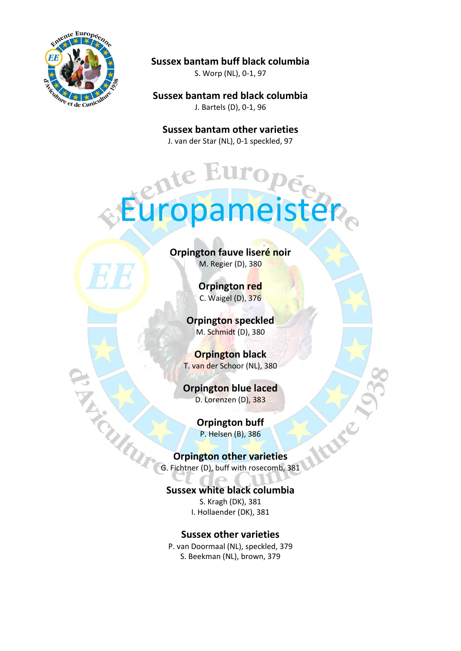

### **Sussex bantam buff black columbia**

S. Worp (NL), 0-1, 97

**Sussex bantam red black columbia** J. Bartels (D), 0-1, 96

**Sussex bantam other varieties** J. van der Star (NL), 0-1 speckled, 97

Europameister

### **Orpington fauve liseré noir** M. Regier (D), 380

**Orpington red** C. Waigel (D), 376

**Orpington speckled** M. Schmidt (D), 380

**Orpington black** T. van der Schoor (NL), 380

**Orpington blue laced** D. Lorenzen (D), 383

> **Orpington buff** P. Helsen (B), 386

Have

## **Orpington other varieties**

G. Fichtner (D), buff with rosecomb, 381

## **Sussex white black columbia**

S. Kragh (DK), 381 I. Hollaender (DK), 381

#### **Sussex other varieties**

P. van Doormaal (NL), speckled, 379 S. Beekman (NL), brown, 379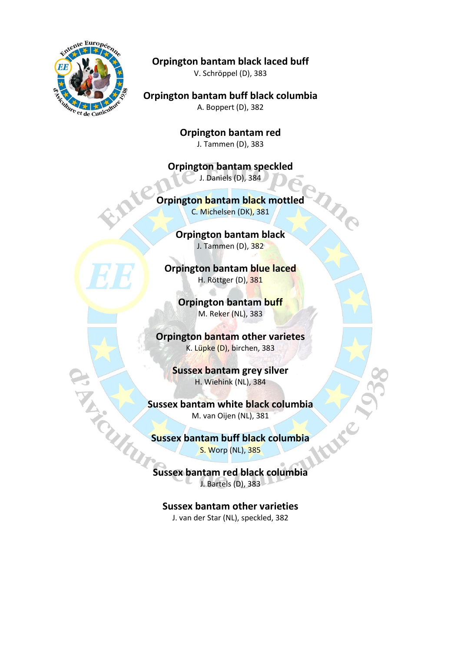

**Orpington bantam black laced buff**

V. Schröppel (D), 383

**Orpington bantam buff black columbia** A. Boppert (D), 382

> **Orpington bantam red** J. Tammen (D), 383

**Orpington bantam speckled** J. Daniels (D), 384

## **Orpington bantam black mottled**

C. Michelsen (DK), 381

**Orpington bantam black** J. Tammen (D), 382

**Orpington bantam blue laced** H. Röttger (D), 381

**Orpington bantam buff** M. Reker (NL), 383

**Orpington bantam other varietes** K. Lüpke (D), birchen, 383

> **Sussex bantam grey silver** H. Wiehink (NL), 384

**Sussex bantam white black columbia** M. van Oijen (NL), 381

**Sussex bantam buff black columbia**<br>
S. Worp (NL), 385 S. Worp (NL), 385

**Sussex bantam red black columbia** J. Bartels (D), 383

**Sussex bantam other varieties** J. van der Star (NL), speckled, 382